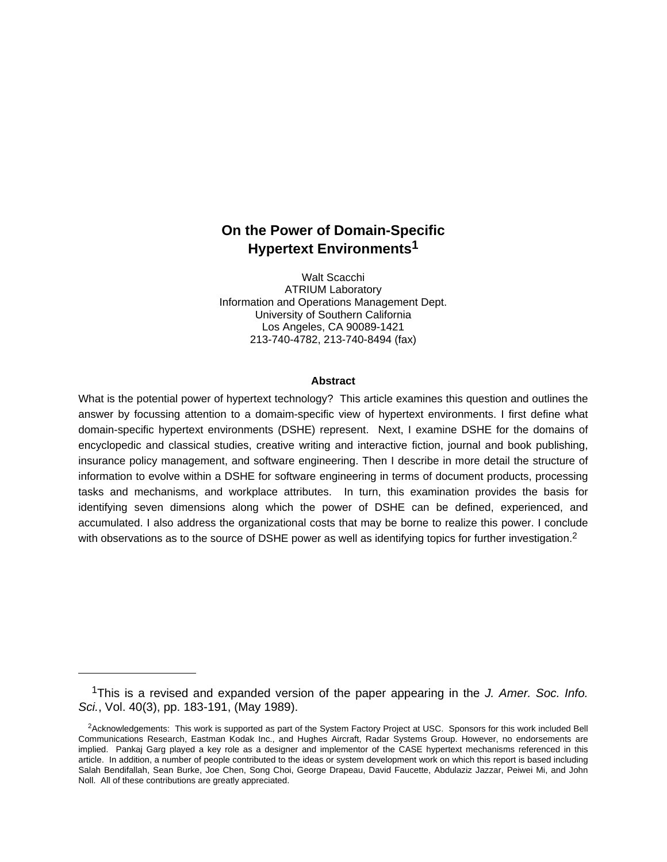## **On the Power of Domain-Specific Hypertext Environments1**

Walt Scacchi ATRIUM Laboratory Information and Operations Management Dept. University of Southern California Los Angeles, CA 90089-1421 213-740-4782, 213-740-8494 (fax)

#### **Abstract**

What is the potential power of hypertext technology? This article examines this question and outlines the answer by focussing attention to a domaim-specific view of hypertext environments. I first define what domain-specific hypertext environments (DSHE) represent. Next, I examine DSHE for the domains of encyclopedic and classical studies, creative writing and interactive fiction, journal and book publishing, insurance policy management, and software engineering. Then I describe in more detail the structure of information to evolve within a DSHE for software engineering in terms of document products, processing tasks and mechanisms, and workplace attributes. In turn, this examination provides the basis for identifying seven dimensions along which the power of DSHE can be defined, experienced, and accumulated. I also address the organizational costs that may be borne to realize this power. I conclude with observations as to the source of DSHE power as well as identifying topics for further investigation.<sup>2</sup>

<sup>&</sup>lt;sup>1</sup>This is a revised and expanded version of the paper appearing in the J. Amer. Soc. Info. Sci., Vol. 40(3), pp. 183-191, (May 1989).

<sup>&</sup>lt;sup>2</sup>Acknowledgements: This work is supported as part of the System Factory Project at USC. Sponsors for this work included Bell Communications Research, Eastman Kodak Inc., and Hughes Aircraft, Radar Systems Group. However, no endorsements are implied. Pankaj Garg played a key role as a designer and implementor of the CASE hypertext mechanisms referenced in this article. In addition, a number of people contributed to the ideas or system development work on which this report is based including Salah Bendifallah, Sean Burke, Joe Chen, Song Choi, George Drapeau, David Faucette, Abdulaziz Jazzar, Peiwei Mi, and John Noll. All of these contributions are greatly appreciated.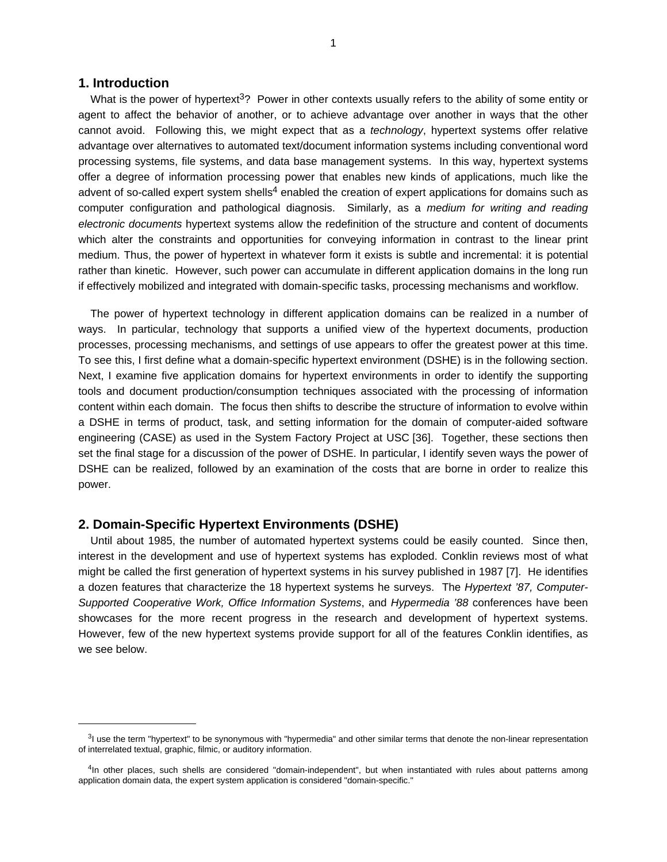## **1. Introduction**

What is the power of hypertext<sup>3</sup>? Power in other contexts usually refers to the ability of some entity or agent to affect the behavior of another, or to achieve advantage over another in ways that the other cannot avoid. Following this, we might expect that as a technology, hypertext systems offer relative advantage over alternatives to automated text/document information systems including conventional word processing systems, file systems, and data base management systems. In this way, hypertext systems offer a degree of information processing power that enables new kinds of applications, much like the advent of so-called expert system shells<sup>4</sup> enabled the creation of expert applications for domains such as computer configuration and pathological diagnosis. Similarly, as a *medium for writing and reading* electronic documents hypertext systems allow the redefinition of the structure and content of documents which alter the constraints and opportunities for conveying information in contrast to the linear print medium. Thus, the power of hypertext in whatever form it exists is subtle and incremental: it is potential rather than kinetic. However, such power can accumulate in different application domains in the long run if effectively mobilized and integrated with domain-specific tasks, processing mechanisms and workflow.

The power of hypertext technology in different application domains can be realized in a number of ways. In particular, technology that supports a unified view of the hypertext documents, production processes, processing mechanisms, and settings of use appears to offer the greatest power at this time. To see this, I first define what a domain-specific hypertext environment (DSHE) is in the following section. Next, I examine five application domains for hypertext environments in order to identify the supporting tools and document production/consumption techniques associated with the processing of information content within each domain. The focus then shifts to describe the structure of information to evolve within a DSHE in terms of product, task, and setting information for the domain of computer-aided software engineering (CASE) as used in the System Factory Project at USC [36]. Together, these sections then set the final stage for a discussion of the power of DSHE. In particular, I identify seven ways the power of DSHE can be realized, followed by an examination of the costs that are borne in order to realize this power.

## **2. Domain-Specific Hypertext Environments (DSHE)**

Until about 1985, the number of automated hypertext systems could be easily counted. Since then, interest in the development and use of hypertext systems has exploded. Conklin reviews most of what might be called the first generation of hypertext systems in his survey published in 1987 [7]. He identifies a dozen features that characterize the 18 hypertext systems he surveys. The Hypertext '87, Computer-Supported Cooperative Work, Office Information Systems, and Hypermedia '88 conferences have been showcases for the more recent progress in the research and development of hypertext systems. However, few of the new hypertext systems provide support for all of the features Conklin identifies, as we see below

<sup>&</sup>lt;sup>3</sup>I use the term "hypertext" to be synonymous with "hypermedia" and other similar terms that denote the non-linear representation of interrelated textual, graphic, filmic, or auditory information.

<sup>&</sup>lt;sup>4</sup>In other places, such shells are considered "domain-independent", but when instantiated with rules about patterns among application domain data, the expert system application is considered "domain-specific."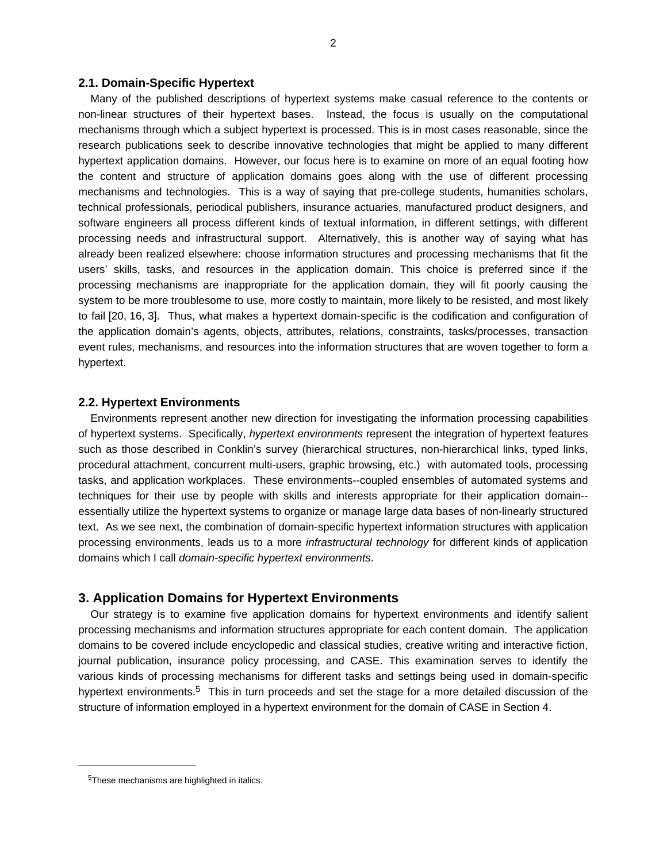#### **2.1. Domain-Specific Hypertext**

Many of the published descriptions of hypertext systems make casual reference to the contents or non-linear structures of their hypertext bases. Instead, the focus is usually on the computational mechanisms through which a subject hypertext is processed. This is in most cases reasonable, since the research publications seek to describe innovative technologies that might be applied to many different hypertext application domains. However, our focus here is to examine on more of an equal footing how the content and structure of application domains goes along with the use of different processing mechanisms and technologies. This is a way of saying that pre-college students, humanities scholars, technical professionals, periodical publishers, insurance actuaries, manufactured product designers, and software engineers all process different kinds of textual information, in different settings, with different processing needs and infrastructural support. Alternatively, this is another way of saying what has already been realized elsewhere: choose information structures and processing mechanisms that fit the users' skills, tasks, and resources in the application domain. This choice is preferred since if the processing mechanisms are inappropriate for the application domain, they will fit poorly causing the system to be more troublesome to use, more costly to maintain, more likely to be resisted, and most likely to fail [20, 16, 3]. Thus, what makes a hypertext domain-specific is the codification and configuration of the application domain's agents, objects, attributes, relations, constraints, tasks/processes, transaction event rules, mechanisms, and resources into the information structures that are woven together to form a hypertext.

#### **2.2. Hypertext Environments**

Environments represent another new direction for investigating the information processing capabilities of hypertext systems. Specifically, hypertext environments represent the integration of hypertext features such as those described in Conklin's survey (hierarchical structures, non-hierarchical links, typed links, procedural attachment, concurrent multi-users, graphic browsing, etc.) with automated tools, processing tasks, and application workplaces. These environments--coupled ensembles of automated systems and techniques for their use by people with skills and interests appropriate for their application domain- essentially utilize the hypertext systems to organize or manage large data bases of non-linearly structured text. As we see next, the combination of domain-specific hypertext information structures with application processing environments, leads us to a more infrastructural technology for different kinds of application domains which I call domain-specific hypertext environments.

## **3. Application Domains for Hypertext Environments**

Our strategy is to examine five application domains for hypertext environments and identify salient processing mechanisms and information structures appropriate for each content domain. The application domains to be covered include encyclopedic and classical studies, creative writing and interactive fiction, journal publication, insurance policy processing, and CASE. This examination serves to identify the various kinds of processing mechanisms for different tasks and settings being used in domain-specific hypertext environments.<sup>5</sup> This in turn proceeds and set the stage for a more detailed discussion of the structure of information employed in a hypertext environment for the domain of CASE in Section 4.

<sup>5</sup>These mechanisms are highlighted in italics.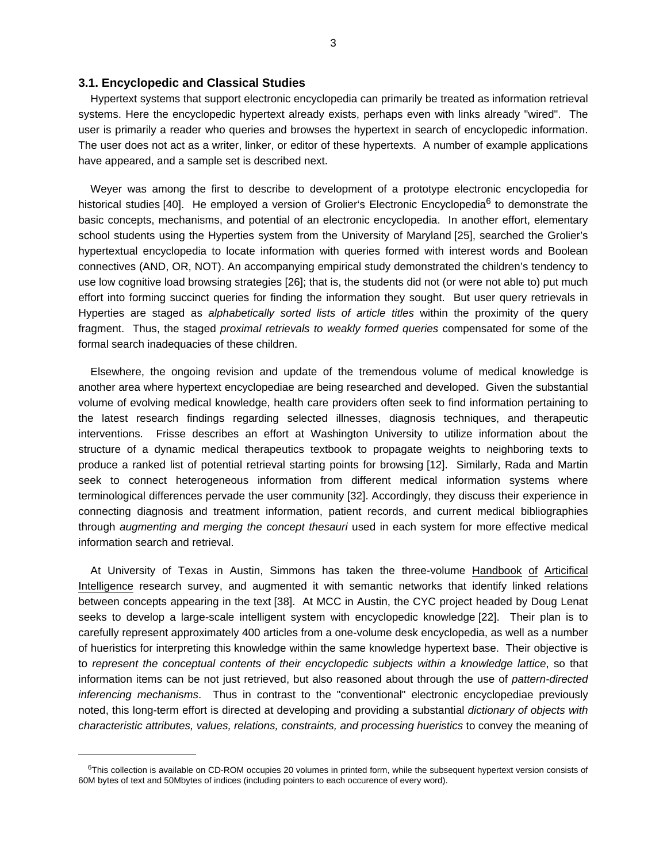## **3.1. Encyclopedic and Classical Studies**

Hypertext systems that support electronic encyclopedia can primarily be treated as information retrieval systems. Here the encyclopedic hypertext already exists, perhaps even with links already "wired". The user is primarily a reader who queries and browses the hypertext in search of encyclopedic information. The user does not act as a writer, linker, or editor of these hypertexts. A number of example applications have appeared, and a sample set is described next.

Weyer was among the first to describe to development of a prototype electronic encyclopedia for historical studies [40]. He employed a version of Grolier's Electronic Encyclopedia<sup>6</sup> to demonstrate the basic concepts, mechanisms, and potential of an electronic encyclopedia. In another effort, elementary school students using the Hyperties system from the University of Maryland [25], searched the Grolier's hypertextual encyclopedia to locate information with queries formed with interest words and Boolean connectives (AND, OR, NOT). An accompanying empirical study demonstrated the children's tendency to use low cognitive load browsing strategies [26]; that is, the students did not (or were not able to) put much effort into forming succinct queries for finding the information they sought. But user query retrievals in Hyperties are staged as *alphabetically sorted lists of article titles* within the proximity of the query fragment. Thus, the staged proximal retrievals to weakly formed queries compensated for some of the formal search inadequacies of these children.

Elsewhere, the ongoing revision and update of the tremendous volume of medical knowledge is another area where hypertext encyclopediae are being researched and developed. Given the substantial volume of evolving medical knowledge, health care providers often seek to find information pertaining to the latest research findings regarding selected illnesses, diagnosis techniques, and therapeutic interventions. Frisse describes an effort at Washington University to utilize information about the structure of a dynamic medical therapeutics textbook to propagate weights to neighboring texts to produce a ranked list of potential retrieval starting points for browsing [12]. Similarly, Rada and Martin seek to connect heterogeneous information from different medical information systems where terminological differences pervade the user community [32]. Accordingly, they discuss their experience in connecting diagnosis and treatment information, patient records, and current medical bibliographies through augmenting and merging the concept thesauri used in each system for more effective medical information search and retrieval.

At University of Texas in Austin, Simmons has taken the three-volume Handbook of Articifical Intelligence research survey, and augmented it with semantic networks that identify linked relations between concepts appearing in the text [38]. At MCC in Austin, the CYC project headed by Doug Lenat seeks to develop a large-scale intelligent system with encyclopedic knowledge [22]. Their plan is to carefully represent approximately 400 articles from a one-volume desk encyclopedia, as well as a number of hueristics for interpreting this knowledge within the same knowledge hypertext base. Their objective is to represent the conceptual contents of their encyclopedic subjects within a knowledge lattice, so that information items can be not just retrieved, but also reasoned about through the use of pattern-directed inferencing mechanisms. Thus in contrast to the "conventional" electronic encyclopediae previously noted, this long-term effort is directed at developing and providing a substantial dictionary of objects with characteristic attributes, values, relations, constraints, and processing hueristics to convey the meaning of

 $6$ This collection is available on CD-ROM occupies 20 volumes in printed form, while the subsequent hypertext version consists of 60M bytes of text and 50Mbytes of indices (including pointers to each occurence of every word).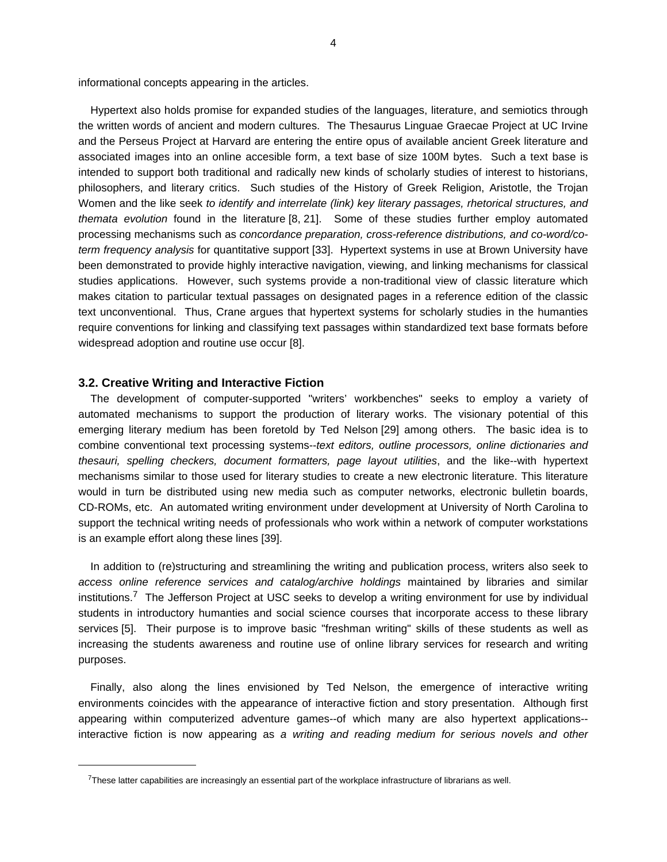informational concepts appearing in the articles.

Hypertext also holds promise for expanded studies of the languages, literature, and semiotics through the written words of ancient and modern cultures. The Thesaurus Linguae Graecae Project at UC Irvine and the Perseus Project at Harvard are entering the entire opus of available ancient Greek literature and associated images into an online accesible form, a text base of size 100M bytes. Such a text base is intended to support both traditional and radically new kinds of scholarly studies of interest to historians, philosophers, and literary critics. Such studies of the History of Greek Religion, Aristotle, the Trojan Women and the like seek to identify and interrelate (link) key literary passages, rhetorical structures, and themata evolution found in the literature [8, 21]. Some of these studies further employ automated processing mechanisms such as concordance preparation, cross-reference distributions, and co-word/coterm frequency analysis for quantitative support [33]. Hypertext systems in use at Brown University have been demonstrated to provide highly interactive navigation, viewing, and linking mechanisms for classical studies applications. However, such systems provide a non-traditional view of classic literature which makes citation to particular textual passages on designated pages in a reference edition of the classic text unconventional. Thus, Crane argues that hypertext systems for scholarly studies in the humanties require conventions for linking and classifying text passages within standardized text base formats before widespread adoption and routine use occur [8].

#### **3.2. Creative Writing and Interactive Fiction**

The development of computer-supported "writers' workbenches" seeks to employ a variety of automated mechanisms to support the production of literary works. The visionary potential of this emerging literary medium has been foretold by Ted Nelson [29] among others. The basic idea is to combine conventional text processing systems--text editors, outline processors, online dictionaries and thesauri, spelling checkers, document formatters, page layout utilities, and the like--with hypertext mechanisms similar to those used for literary studies to create a new electronic literature. This literature would in turn be distributed using new media such as computer networks, electronic bulletin boards, CD-ROMs, etc. An automated writing environment under development at University of North Carolina to support the technical writing needs of professionals who work within a network of computer workstations is an example effort along these lines [39].

In addition to (re)structuring and streamlining the writing and publication process, writers also seek to access online reference services and catalog/archive holdings maintained by libraries and similar institutions.7 The Jefferson Project at USC seeks to develop a writing environment for use by individual students in introductory humanties and social science courses that incorporate access to these library services [5]. Their purpose is to improve basic "freshman writing" skills of these students as well as increasing the students awareness and routine use of online library services for research and writing purposes.

Finally, also along the lines envisioned by Ted Nelson, the emergence of interactive writing environments coincides with the appearance of interactive fiction and story presentation. Although first appearing within computerized adventure games--of which many are also hypertext applications- interactive fiction is now appearing as a writing and reading medium for serious novels and other

 $7$ These latter capabilities are increasingly an essential part of the workplace infrastructure of librarians as well.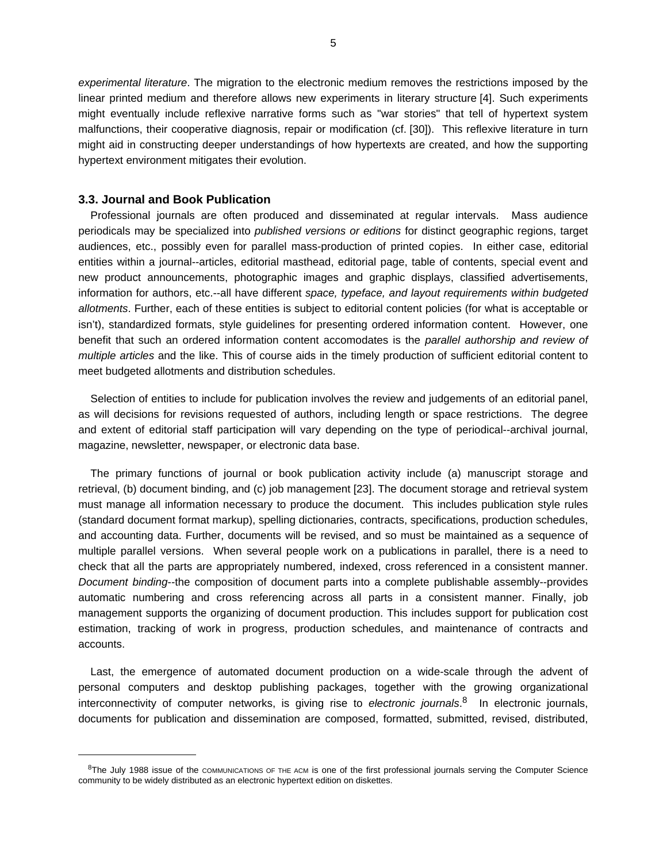experimental literature. The migration to the electronic medium removes the restrictions imposed by the linear printed medium and therefore allows new experiments in literary structure [4]. Such experiments might eventually include reflexive narrative forms such as "war stories" that tell of hypertext system malfunctions, their cooperative diagnosis, repair or modification (cf. [30]). This reflexive literature in turn might aid in constructing deeper understandings of how hypertexts are created, and how the supporting hypertext environment mitigates their evolution.

#### **3.3. Journal and Book Publication**

Professional journals are often produced and disseminated at regular intervals. Mass audience periodicals may be specialized into published versions or editions for distinct geographic regions, target audiences, etc., possibly even for parallel mass-production of printed copies. In either case, editorial entities within a journal--articles, editorial masthead, editorial page, table of contents, special event and new product announcements, photographic images and graphic displays, classified advertisements, information for authors, etc.--all have different space, typeface, and layout requirements within budgeted allotments. Further, each of these entities is subject to editorial content policies (for what is acceptable or isn't), standardized formats, style guidelines for presenting ordered information content. However, one benefit that such an ordered information content accomodates is the parallel authorship and review of multiple articles and the like. This of course aids in the timely production of sufficient editorial content to meet budgeted allotments and distribution schedules.

Selection of entities to include for publication involves the review and judgements of an editorial panel, as will decisions for revisions requested of authors, including length or space restrictions. The degree and extent of editorial staff participation will vary depending on the type of periodical--archival journal, magazine, newsletter, newspaper, or electronic data base.

The primary functions of journal or book publication activity include (a) manuscript storage and retrieval, (b) document binding, and (c) job management [23]. The document storage and retrieval system must manage all information necessary to produce the document. This includes publication style rules (standard document format markup), spelling dictionaries, contracts, specifications, production schedules, and accounting data. Further, documents will be revised, and so must be maintained as a sequence of multiple parallel versions. When several people work on a publications in parallel, there is a need to check that all the parts are appropriately numbered, indexed, cross referenced in a consistent manner. Document binding--the composition of document parts into a complete publishable assembly--provides automatic numbering and cross referencing across all parts in a consistent manner. Finally, job management supports the organizing of document production. This includes support for publication cost estimation, tracking of work in progress, production schedules, and maintenance of contracts and accounts.

Last, the emergence of automated document production on a wide-scale through the advent of personal computers and desktop publishing packages, together with the growing organizational interconnectivity of computer networks, is giving rise to electronic journals.<sup>8</sup> In electronic journals, documents for publication and dissemination are composed, formatted, submitted, revised, distributed,

 $8$ The July 1988 issue of the COMMUNICATIONS OF THE ACM is one of the first professional journals serving the Computer Science community to be widely distributed as an electronic hypertext edition on diskettes.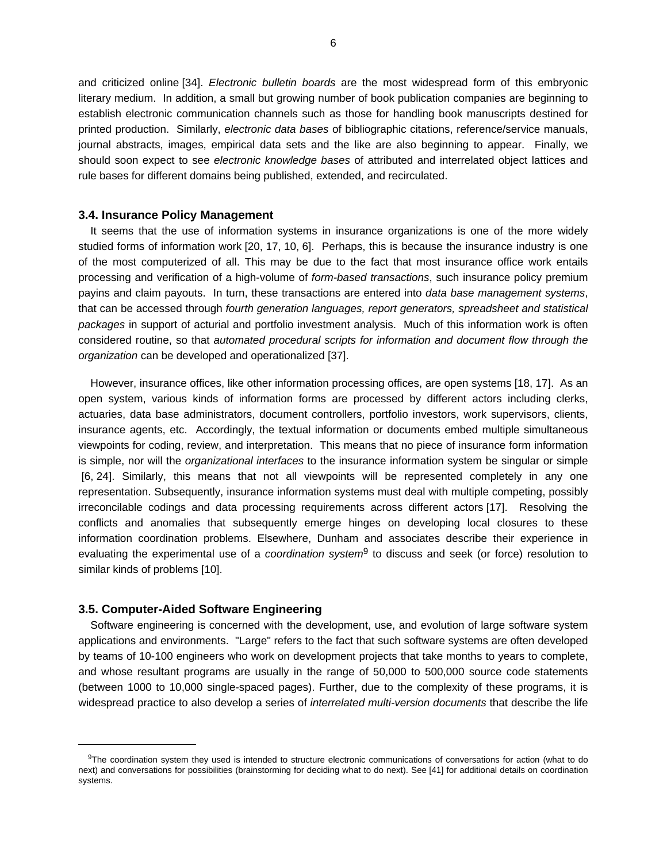and criticized online [34]. Electronic bulletin boards are the most widespread form of this embryonic literary medium. In addition, a small but growing number of book publication companies are beginning to establish electronic communication channels such as those for handling book manuscripts destined for printed production. Similarly, electronic data bases of bibliographic citations, reference/service manuals, journal abstracts, images, empirical data sets and the like are also beginning to appear. Finally, we should soon expect to see electronic knowledge bases of attributed and interrelated object lattices and rule bases for different domains being published, extended, and recirculated.

#### **3.4. Insurance Policy Management**

It seems that the use of information systems in insurance organizations is one of the more widely studied forms of information work [20, 17, 10, 6]. Perhaps, this is because the insurance industry is one of the most computerized of all. This may be due to the fact that most insurance office work entails processing and verification of a high-volume of form-based transactions, such insurance policy premium payins and claim payouts. In turn, these transactions are entered into data base management systems, that can be accessed through fourth generation languages, report generators, spreadsheet and statistical packages in support of acturial and portfolio investment analysis. Much of this information work is often considered routine, so that automated procedural scripts for information and document flow through the organization can be developed and operationalized [37].

However, insurance offices, like other information processing offices, are open systems [18, 17]. As an open system, various kinds of information forms are processed by different actors including clerks, actuaries, data base administrators, document controllers, portfolio investors, work supervisors, clients, insurance agents, etc. Accordingly, the textual information or documents embed multiple simultaneous viewpoints for coding, review, and interpretation. This means that no piece of insurance form information is simple, nor will the *organizational interfaces* to the insurance information system be singular or simple [6, 24]. Similarly, this means that not all viewpoints will be represented completely in any one representation. Subsequently, insurance information systems must deal with multiple competing, possibly irreconcilable codings and data processing requirements across different actors [17]. Resolving the conflicts and anomalies that subsequently emerge hinges on developing local closures to these information coordination problems. Elsewhere, Dunham and associates describe their experience in evaluating the experimental use of a *coordination system*<sup>9</sup> to discuss and seek (or force) resolution to similar kinds of problems [10].

## **3.5. Computer-Aided Software Engineering**

Software engineering is concerned with the development, use, and evolution of large software system applications and environments. "Large" refers to the fact that such software systems are often developed by teams of 10-100 engineers who work on development projects that take months to years to complete, and whose resultant programs are usually in the range of 50,000 to 500,000 source code statements (between 1000 to 10,000 single-spaced pages). Further, due to the complexity of these programs, it is widespread practice to also develop a series of *interrelated multi-version documents* that describe the life

<sup>&</sup>lt;sup>9</sup>The coordination system they used is intended to structure electronic communications of conversations for action (what to do next) and conversations for possibilities (brainstorming for deciding what to do next). See [41] for additional details on coordination systems.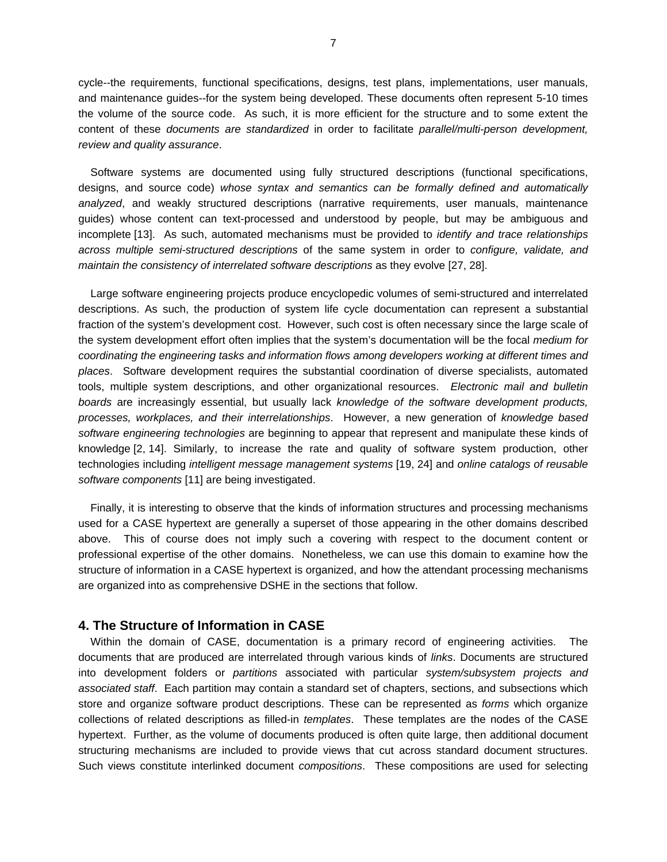cycle--the requirements, functional specifications, designs, test plans, implementations, user manuals, and maintenance guides--for the system being developed. These documents often represent 5-10 times the volume of the source code. As such, it is more efficient for the structure and to some extent the content of these documents are standardized in order to facilitate parallel/multi-person development, review and quality assurance.

Software systems are documented using fully structured descriptions (functional specifications, designs, and source code) whose syntax and semantics can be formally defined and automatically analyzed, and weakly structured descriptions (narrative requirements, user manuals, maintenance guides) whose content can text-processed and understood by people, but may be ambiguous and incomplete [13]. As such, automated mechanisms must be provided to *identify and trace relationships* across multiple semi-structured descriptions of the same system in order to configure, validate, and maintain the consistency of interrelated software descriptions as they evolve [27, 28].

Large software engineering projects produce encyclopedic volumes of semi-structured and interrelated descriptions. As such, the production of system life cycle documentation can represent a substantial fraction of the system's development cost. However, such cost is often necessary since the large scale of the system development effort often implies that the system's documentation will be the focal medium for coordinating the engineering tasks and information flows among developers working at different times and places. Software development requires the substantial coordination of diverse specialists, automated tools, multiple system descriptions, and other organizational resources. Electronic mail and bulletin boards are increasingly essential, but usually lack knowledge of the software development products, processes, workplaces, and their interrelationships. However, a new generation of knowledge based software engineering technologies are beginning to appear that represent and manipulate these kinds of knowledge [2, 14]. Similarly, to increase the rate and quality of software system production, other technologies including intelligent message management systems [19, 24] and online catalogs of reusable software components [11] are being investigated.

Finally, it is interesting to observe that the kinds of information structures and processing mechanisms used for a CASE hypertext are generally a superset of those appearing in the other domains described above. This of course does not imply such a covering with respect to the document content or professional expertise of the other domains. Nonetheless, we can use this domain to examine how the structure of information in a CASE hypertext is organized, and how the attendant processing mechanisms are organized into as comprehensive DSHE in the sections that follow.

## **4. The Structure of Information in CASE**

Within the domain of CASE, documentation is a primary record of engineering activities. The documents that are produced are interrelated through various kinds of links. Documents are structured into development folders or partitions associated with particular system/subsystem projects and associated staff. Each partition may contain a standard set of chapters, sections, and subsections which store and organize software product descriptions. These can be represented as *forms* which organize collections of related descriptions as filled-in templates. These templates are the nodes of the CASE hypertext. Further, as the volume of documents produced is often quite large, then additional document structuring mechanisms are included to provide views that cut across standard document structures. Such views constitute interlinked document compositions. These compositions are used for selecting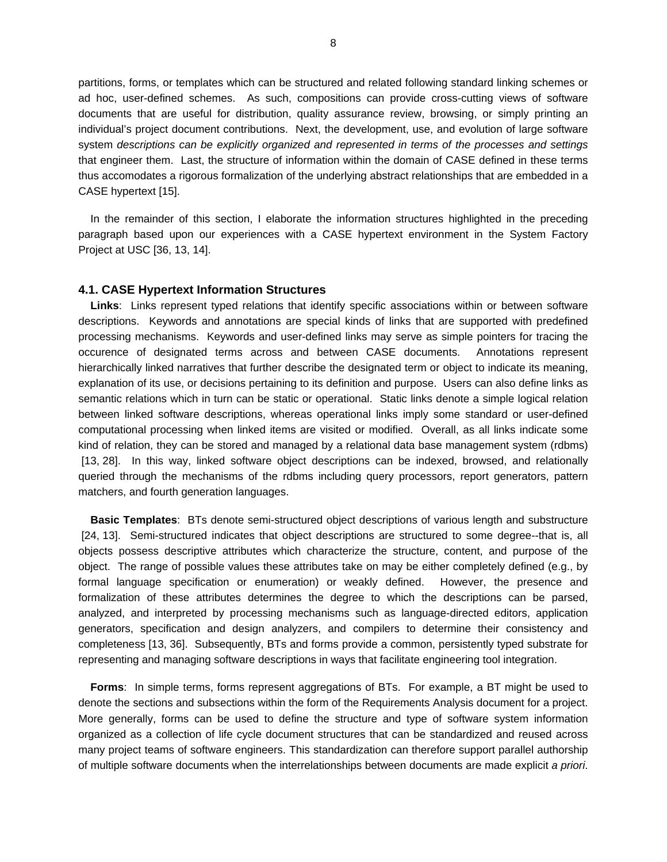partitions, forms, or templates which can be structured and related following standard linking schemes or ad hoc, user-defined schemes. As such, compositions can provide cross-cutting views of software documents that are useful for distribution, quality assurance review, browsing, or simply printing an individual's project document contributions. Next, the development, use, and evolution of large software system descriptions can be explicitly organized and represented in terms of the processes and settings that engineer them. Last, the structure of information within the domain of CASE defined in these terms thus accomodates a rigorous formalization of the underlying abstract relationships that are embedded in a CASE hypertext [15].

In the remainder of this section, I elaborate the information structures highlighted in the preceding paragraph based upon our experiences with a CASE hypertext environment in the System Factory Project at USC [36, 13, 14].

#### **4.1. CASE Hypertext Information Structures**

**Links**: Links represent typed relations that identify specific associations within or between software descriptions. Keywords and annotations are special kinds of links that are supported with predefined processing mechanisms. Keywords and user-defined links may serve as simple pointers for tracing the occurence of designated terms across and between CASE documents. Annotations represent hierarchically linked narratives that further describe the designated term or object to indicate its meaning, explanation of its use, or decisions pertaining to its definition and purpose. Users can also define links as semantic relations which in turn can be static or operational. Static links denote a simple logical relation between linked software descriptions, whereas operational links imply some standard or user-defined computational processing when linked items are visited or modified. Overall, as all links indicate some kind of relation, they can be stored and managed by a relational data base management system (rdbms) [13, 28]. In this way, linked software object descriptions can be indexed, browsed, and relationally queried through the mechanisms of the rdbms including query processors, report generators, pattern matchers, and fourth generation languages.

**Basic Templates**: BTs denote semi-structured object descriptions of various length and substructure [24, 13]. Semi-structured indicates that object descriptions are structured to some degree--that is, all objects possess descriptive attributes which characterize the structure, content, and purpose of the object. The range of possible values these attributes take on may be either completely defined (e.g., by formal language specification or enumeration) or weakly defined. However, the presence and formalization of these attributes determines the degree to which the descriptions can be parsed, analyzed, and interpreted by processing mechanisms such as language-directed editors, application generators, specification and design analyzers, and compilers to determine their consistency and completeness [13, 36]. Subsequently, BTs and forms provide a common, persistently typed substrate for representing and managing software descriptions in ways that facilitate engineering tool integration.

**Forms**: In simple terms, forms represent aggregations of BTs. For example, a BT might be used to denote the sections and subsections within the form of the Requirements Analysis document for a project. More generally, forms can be used to define the structure and type of software system information organized as a collection of life cycle document structures that can be standardized and reused across many project teams of software engineers. This standardization can therefore support parallel authorship of multiple software documents when the interrelationships between documents are made explicit a priori.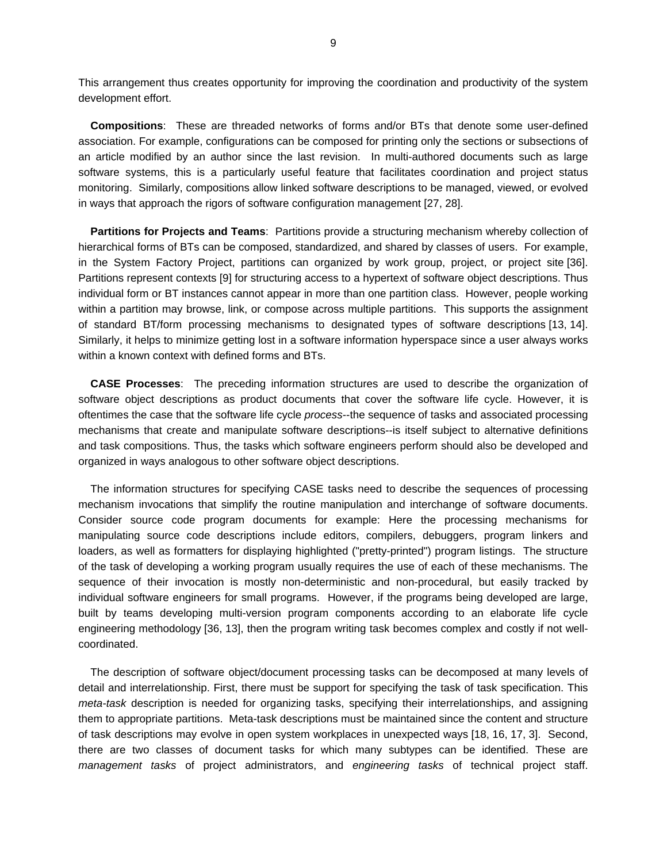This arrangement thus creates opportunity for improving the coordination and productivity of the system development effort.

**Compositions**: These are threaded networks of forms and/or BTs that denote some user-defined association. For example, configurations can be composed for printing only the sections or subsections of an article modified by an author since the last revision. In multi-authored documents such as large software systems, this is a particularly useful feature that facilitates coordination and project status monitoring. Similarly, compositions allow linked software descriptions to be managed, viewed, or evolved in ways that approach the rigors of software configuration management [27, 28].

**Partitions for Projects and Teams**: Partitions provide a structuring mechanism whereby collection of hierarchical forms of BTs can be composed, standardized, and shared by classes of users. For example, in the System Factory Project, partitions can organized by work group, project, or project site [36]. Partitions represent contexts [9] for structuring access to a hypertext of software object descriptions. Thus individual form or BT instances cannot appear in more than one partition class. However, people working within a partition may browse, link, or compose across multiple partitions. This supports the assignment of standard BT/form processing mechanisms to designated types of software descriptions [13, 14]. Similarly, it helps to minimize getting lost in a software information hyperspace since a user always works within a known context with defined forms and BTs.

**CASE Processes**: The preceding information structures are used to describe the organization of software object descriptions as product documents that cover the software life cycle. However, it is oftentimes the case that the software life cycle process--the sequence of tasks and associated processing mechanisms that create and manipulate software descriptions--is itself subject to alternative definitions and task compositions. Thus, the tasks which software engineers perform should also be developed and organized in ways analogous to other software object descriptions.

The information structures for specifying CASE tasks need to describe the sequences of processing mechanism invocations that simplify the routine manipulation and interchange of software documents. Consider source code program documents for example: Here the processing mechanisms for manipulating source code descriptions include editors, compilers, debuggers, program linkers and loaders, as well as formatters for displaying highlighted ("pretty-printed") program listings. The structure of the task of developing a working program usually requires the use of each of these mechanisms. The sequence of their invocation is mostly non-deterministic and non-procedural, but easily tracked by individual software engineers for small programs. However, if the programs being developed are large, built by teams developing multi-version program components according to an elaborate life cycle engineering methodology [36, 13], then the program writing task becomes complex and costly if not wellcoordinated.

The description of software object/document processing tasks can be decomposed at many levels of detail and interrelationship. First, there must be support for specifying the task of task specification. This meta-task description is needed for organizing tasks, specifying their interrelationships, and assigning them to appropriate partitions. Meta-task descriptions must be maintained since the content and structure of task descriptions may evolve in open system workplaces in unexpected ways [18, 16, 17, 3]. Second, there are two classes of document tasks for which many subtypes can be identified. These are management tasks of project administrators, and engineering tasks of technical project staff.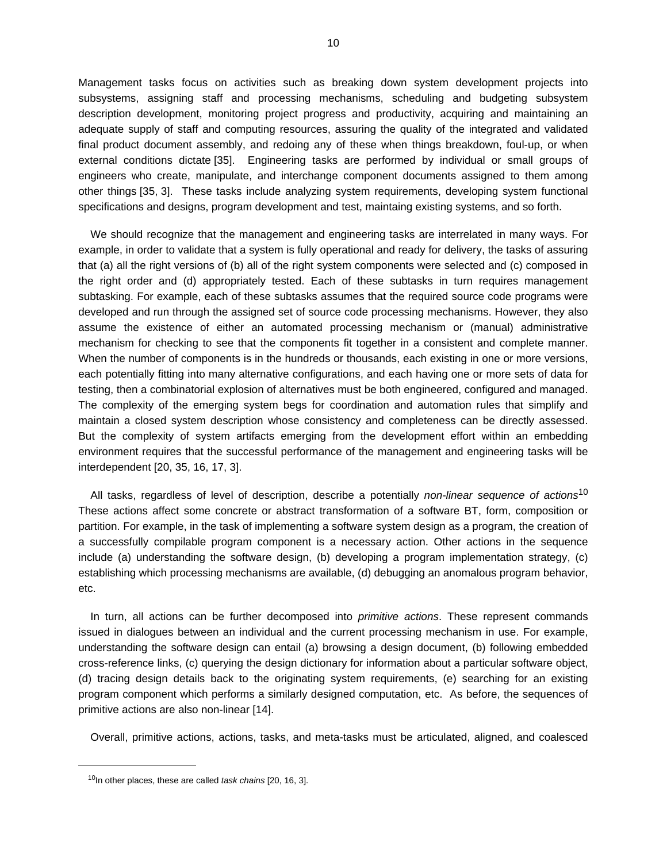Management tasks focus on activities such as breaking down system development projects into subsystems, assigning staff and processing mechanisms, scheduling and budgeting subsystem description development, monitoring project progress and productivity, acquiring and maintaining an adequate supply of staff and computing resources, assuring the quality of the integrated and validated final product document assembly, and redoing any of these when things breakdown, foul-up, or when external conditions dictate [35]. Engineering tasks are performed by individual or small groups of engineers who create, manipulate, and interchange component documents assigned to them among other things [35, 3]. These tasks include analyzing system requirements, developing system functional specifications and designs, program development and test, maintaing existing systems, and so forth.

We should recognize that the management and engineering tasks are interrelated in many ways. For example, in order to validate that a system is fully operational and ready for delivery, the tasks of assuring that (a) all the right versions of (b) all of the right system components were selected and (c) composed in the right order and (d) appropriately tested. Each of these subtasks in turn requires management subtasking. For example, each of these subtasks assumes that the required source code programs were developed and run through the assigned set of source code processing mechanisms. However, they also assume the existence of either an automated processing mechanism or (manual) administrative mechanism for checking to see that the components fit together in a consistent and complete manner. When the number of components is in the hundreds or thousands, each existing in one or more versions, each potentially fitting into many alternative configurations, and each having one or more sets of data for testing, then a combinatorial explosion of alternatives must be both engineered, configured and managed. The complexity of the emerging system begs for coordination and automation rules that simplify and maintain a closed system description whose consistency and completeness can be directly assessed. But the complexity of system artifacts emerging from the development effort within an embedding environment requires that the successful performance of the management and engineering tasks will be interdependent [20, 35, 16, 17, 3].

All tasks, regardless of level of description, describe a potentially non-linear sequence of actions<sup>10</sup> These actions affect some concrete or abstract transformation of a software BT, form, composition or partition. For example, in the task of implementing a software system design as a program, the creation of a successfully compilable program component is a necessary action. Other actions in the sequence include (a) understanding the software design, (b) developing a program implementation strategy, (c) establishing which processing mechanisms are available, (d) debugging an anomalous program behavior, etc.

In turn, all actions can be further decomposed into *primitive actions*. These represent commands issued in dialogues between an individual and the current processing mechanism in use. For example, understanding the software design can entail (a) browsing a design document, (b) following embedded cross-reference links, (c) querying the design dictionary for information about a particular software object, (d) tracing design details back to the originating system requirements, (e) searching for an existing program component which performs a similarly designed computation, etc. As before, the sequences of primitive actions are also non-linear [14].

Overall, primitive actions, actions, tasks, and meta-tasks must be articulated, aligned, and coalesced

 $10$ In other places, these are called task chains [20, 16, 3].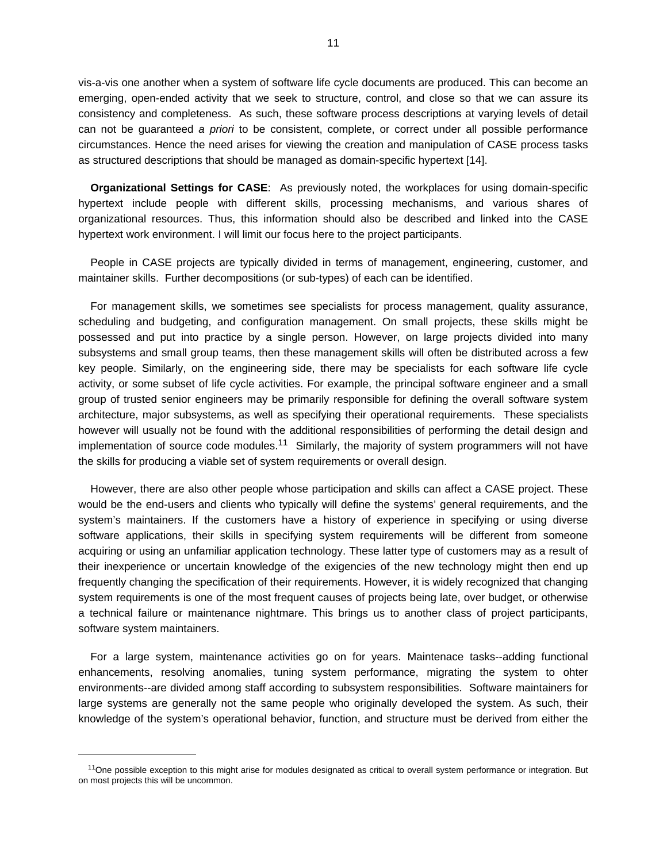vis-a-vis one another when a system of software life cycle documents are produced. This can become an emerging, open-ended activity that we seek to structure, control, and close so that we can assure its consistency and completeness. As such, these software process descriptions at varying levels of detail can not be guaranteed a priori to be consistent, complete, or correct under all possible performance circumstances. Hence the need arises for viewing the creation and manipulation of CASE process tasks as structured descriptions that should be managed as domain-specific hypertext [14].

**Organizational Settings for CASE**: As previously noted, the workplaces for using domain-specific hypertext include people with different skills, processing mechanisms, and various shares of organizational resources. Thus, this information should also be described and linked into the CASE hypertext work environment. I will limit our focus here to the project participants.

People in CASE projects are typically divided in terms of management, engineering, customer, and maintainer skills. Further decompositions (or sub-types) of each can be identified.

For management skills, we sometimes see specialists for process management, quality assurance, scheduling and budgeting, and configuration management. On small projects, these skills might be possessed and put into practice by a single person. However, on large projects divided into many subsystems and small group teams, then these management skills will often be distributed across a few key people. Similarly, on the engineering side, there may be specialists for each software life cycle activity, or some subset of life cycle activities. For example, the principal software engineer and a small group of trusted senior engineers may be primarily responsible for defining the overall software system architecture, major subsystems, as well as specifying their operational requirements. These specialists however will usually not be found with the additional responsibilities of performing the detail design and implementation of source code modules.<sup>11</sup> Similarly, the majority of system programmers will not have the skills for producing a viable set of system requirements or overall design.

However, there are also other people whose participation and skills can affect a CASE project. These would be the end-users and clients who typically will define the systems' general requirements, and the system's maintainers. If the customers have a history of experience in specifying or using diverse software applications, their skills in specifying system requirements will be different from someone acquiring or using an unfamiliar application technology. These latter type of customers may as a result of their inexperience or uncertain knowledge of the exigencies of the new technology might then end up frequently changing the specification of their requirements. However, it is widely recognized that changing system requirements is one of the most frequent causes of projects being late, over budget, or otherwise a technical failure or maintenance nightmare. This brings us to another class of project participants, software system maintainers.

For a large system, maintenance activities go on for years. Maintenace tasks--adding functional enhancements, resolving anomalies, tuning system performance, migrating the system to ohter environments--are divided among staff according to subsystem responsibilities. Software maintainers for large systems are generally not the same people who originally developed the system. As such, their knowledge of the system's operational behavior, function, and structure must be derived from either the

 $11$ One possible exception to this might arise for modules designated as critical to overall system performance or integration. But on most projects this will be uncommon.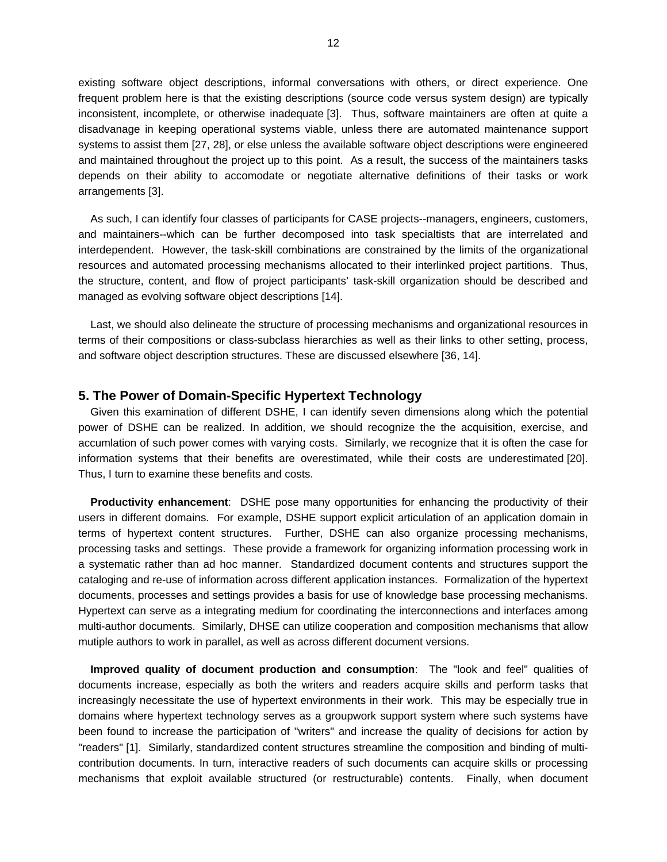existing software object descriptions, informal conversations with others, or direct experience. One frequent problem here is that the existing descriptions (source code versus system design) are typically inconsistent, incomplete, or otherwise inadequate [3]. Thus, software maintainers are often at quite a disadvanage in keeping operational systems viable, unless there are automated maintenance support systems to assist them [27, 28], or else unless the available software object descriptions were engineered and maintained throughout the project up to this point. As a result, the success of the maintainers tasks depends on their ability to accomodate or negotiate alternative definitions of their tasks or work arrangements [3].

As such, I can identify four classes of participants for CASE projects--managers, engineers, customers, and maintainers--which can be further decomposed into task specialtists that are interrelated and interdependent. However, the task-skill combinations are constrained by the limits of the organizational resources and automated processing mechanisms allocated to their interlinked project partitions. Thus, the structure, content, and flow of project participants' task-skill organization should be described and managed as evolving software object descriptions [14].

Last, we should also delineate the structure of processing mechanisms and organizational resources in terms of their compositions or class-subclass hierarchies as well as their links to other setting, process, and software object description structures. These are discussed elsewhere [36, 14].

## **5. The Power of Domain-Specific Hypertext Technology**

Given this examination of different DSHE, I can identify seven dimensions along which the potential power of DSHE can be realized. In addition, we should recognize the the acquisition, exercise, and accumlation of such power comes with varying costs. Similarly, we recognize that it is often the case for information systems that their benefits are overestimated, while their costs are underestimated [20]. Thus, I turn to examine these benefits and costs.

**Productivity enhancement**: DSHE pose many opportunities for enhancing the productivity of their users in different domains. For example, DSHE support explicit articulation of an application domain in terms of hypertext content structures. Further, DSHE can also organize processing mechanisms, processing tasks and settings. These provide a framework for organizing information processing work in a systematic rather than ad hoc manner. Standardized document contents and structures support the cataloging and re-use of information across different application instances. Formalization of the hypertext documents, processes and settings provides a basis for use of knowledge base processing mechanisms. Hypertext can serve as a integrating medium for coordinating the interconnections and interfaces among multi-author documents. Similarly, DHSE can utilize cooperation and composition mechanisms that allow mutiple authors to work in parallel, as well as across different document versions.

**Improved quality of document production and consumption**: The "look and feel" qualities of documents increase, especially as both the writers and readers acquire skills and perform tasks that increasingly necessitate the use of hypertext environments in their work. This may be especially true in domains where hypertext technology serves as a groupwork support system where such systems have been found to increase the participation of "writers" and increase the quality of decisions for action by "readers" [1]. Similarly, standardized content structures streamline the composition and binding of multicontribution documents. In turn, interactive readers of such documents can acquire skills or processing mechanisms that exploit available structured (or restructurable) contents. Finally, when document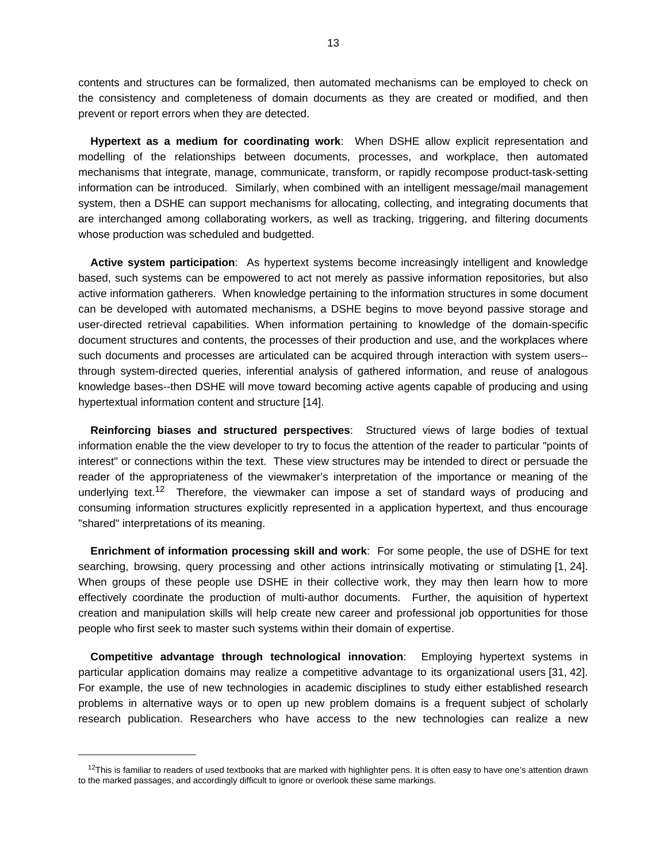contents and structures can be formalized, then automated mechanisms can be employed to check on the consistency and completeness of domain documents as they are created or modified, and then prevent or report errors when they are detected.

**Hypertext as a medium for coordinating work**: When DSHE allow explicit representation and modelling of the relationships between documents, processes, and workplace, then automated mechanisms that integrate, manage, communicate, transform, or rapidly recompose product-task-setting information can be introduced. Similarly, when combined with an intelligent message/mail management system, then a DSHE can support mechanisms for allocating, collecting, and integrating documents that are interchanged among collaborating workers, as well as tracking, triggering, and filtering documents whose production was scheduled and budgetted.

**Active system participation**: As hypertext systems become increasingly intelligent and knowledge based, such systems can be empowered to act not merely as passive information repositories, but also active information gatherers. When knowledge pertaining to the information structures in some document can be developed with automated mechanisms, a DSHE begins to move beyond passive storage and user-directed retrieval capabilities. When information pertaining to knowledge of the domain-specific document structures and contents, the processes of their production and use, and the workplaces where such documents and processes are articulated can be acquired through interaction with system users- through system-directed queries, inferential analysis of gathered information, and reuse of analogous knowledge bases--then DSHE will move toward becoming active agents capable of producing and using hypertextual information content and structure [14].

**Reinforcing biases and structured perspectives**: Structured views of large bodies of textual information enable the the view developer to try to focus the attention of the reader to particular "points of interest" or connections within the text. These view structures may be intended to direct or persuade the reader of the appropriateness of the viewmaker's interpretation of the importance or meaning of the underlying text.<sup>12</sup> Therefore, the viewmaker can impose a set of standard ways of producing and consuming information structures explicitly represented in a application hypertext, and thus encourage "shared" interpretations of its meaning.

**Enrichment of information processing skill and work**: For some people, the use of DSHE for text searching, browsing, query processing and other actions intrinsically motivating or stimulating [1, 24]. When groups of these people use DSHE in their collective work, they may then learn how to more effectively coordinate the production of multi-author documents. Further, the aquisition of hypertext creation and manipulation skills will help create new career and professional job opportunities for those people who first seek to master such systems within their domain of expertise.

**Competitive advantage through technological innovation**: Employing hypertext systems in particular application domains may realize a competitive advantage to its organizational users [31, 42]. For example, the use of new technologies in academic disciplines to study either established research problems in alternative ways or to open up new problem domains is a frequent subject of scholarly research publication. Researchers who have access to the new technologies can realize a new

 $12$ This is familiar to readers of used textbooks that are marked with highlighter pens. It is often easy to have one's attention drawn to the marked passages, and accordingly difficult to ignore or overlook these same markings.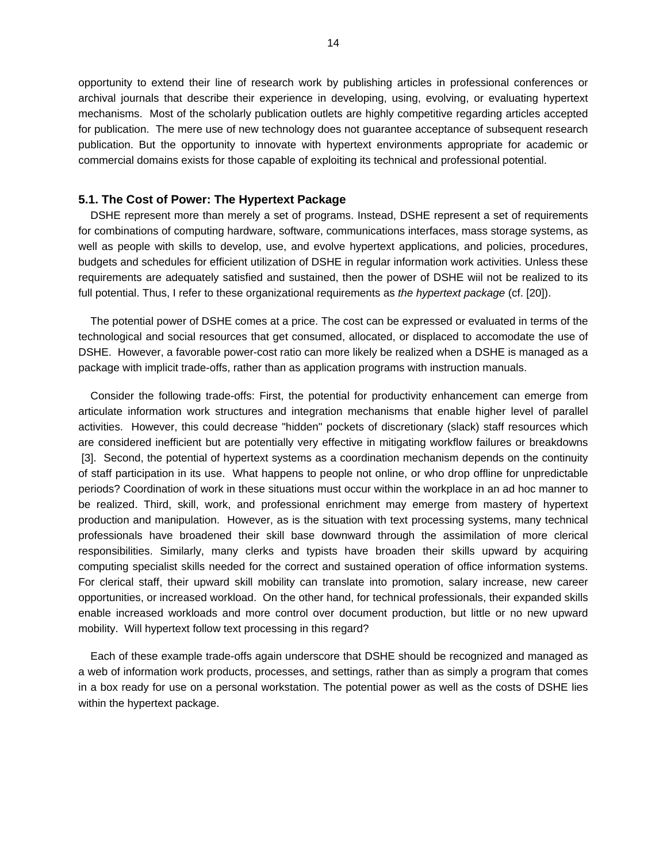opportunity to extend their line of research work by publishing articles in professional conferences or archival journals that describe their experience in developing, using, evolving, or evaluating hypertext mechanisms. Most of the scholarly publication outlets are highly competitive regarding articles accepted for publication. The mere use of new technology does not guarantee acceptance of subsequent research publication. But the opportunity to innovate with hypertext environments appropriate for academic or commercial domains exists for those capable of exploiting its technical and professional potential.

#### **5.1. The Cost of Power: The Hypertext Package**

DSHE represent more than merely a set of programs. Instead, DSHE represent a set of requirements for combinations of computing hardware, software, communications interfaces, mass storage systems, as well as people with skills to develop, use, and evolve hypertext applications, and policies, procedures, budgets and schedules for efficient utilization of DSHE in regular information work activities. Unless these requirements are adequately satisfied and sustained, then the power of DSHE wiil not be realized to its full potential. Thus, I refer to these organizational requirements as the hypertext package (cf. [20]).

The potential power of DSHE comes at a price. The cost can be expressed or evaluated in terms of the technological and social resources that get consumed, allocated, or displaced to accomodate the use of DSHE. However, a favorable power-cost ratio can more likely be realized when a DSHE is managed as a package with implicit trade-offs, rather than as application programs with instruction manuals.

Consider the following trade-offs: First, the potential for productivity enhancement can emerge from articulate information work structures and integration mechanisms that enable higher level of parallel activities. However, this could decrease "hidden" pockets of discretionary (slack) staff resources which are considered inefficient but are potentially very effective in mitigating workflow failures or breakdowns [3]. Second, the potential of hypertext systems as a coordination mechanism depends on the continuity of staff participation in its use. What happens to people not online, or who drop offline for unpredictable periods? Coordination of work in these situations must occur within the workplace in an ad hoc manner to be realized. Third, skill, work, and professional enrichment may emerge from mastery of hypertext production and manipulation. However, as is the situation with text processing systems, many technical professionals have broadened their skill base downward through the assimilation of more clerical responsibilities. Similarly, many clerks and typists have broaden their skills upward by acquiring computing specialist skills needed for the correct and sustained operation of office information systems. For clerical staff, their upward skill mobility can translate into promotion, salary increase, new career opportunities, or increased workload. On the other hand, for technical professionals, their expanded skills enable increased workloads and more control over document production, but little or no new upward mobility. Will hypertext follow text processing in this regard?

Each of these example trade-offs again underscore that DSHE should be recognized and managed as a web of information work products, processes, and settings, rather than as simply a program that comes in a box ready for use on a personal workstation. The potential power as well as the costs of DSHE lies within the hypertext package.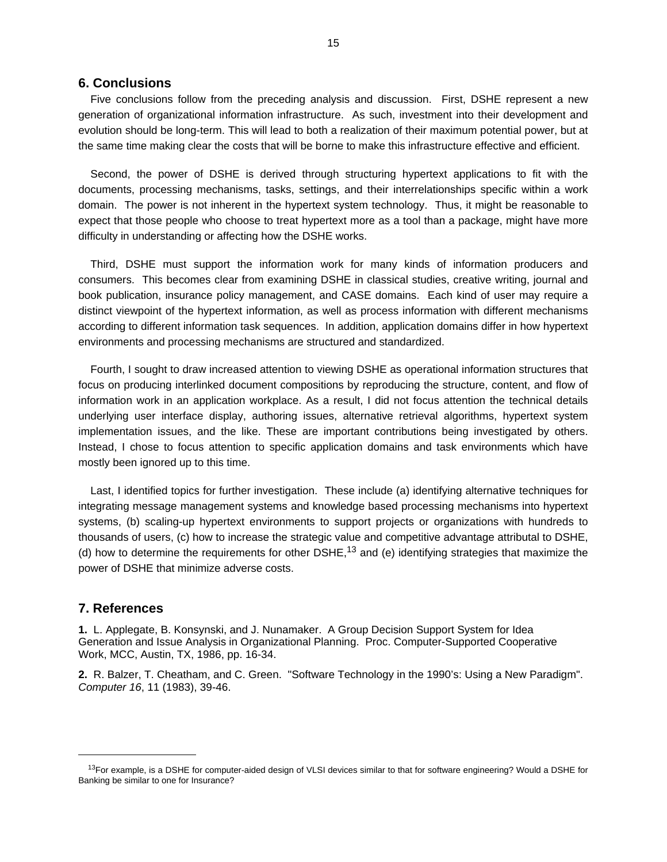## **6. Conclusions**

Five conclusions follow from the preceding analysis and discussion. First, DSHE represent a new generation of organizational information infrastructure. As such, investment into their development and evolution should be long-term. This will lead to both a realization of their maximum potential power, but at the same time making clear the costs that will be borne to make this infrastructure effective and efficient.

Second, the power of DSHE is derived through structuring hypertext applications to fit with the documents, processing mechanisms, tasks, settings, and their interrelationships specific within a work domain. The power is not inherent in the hypertext system technology. Thus, it might be reasonable to expect that those people who choose to treat hypertext more as a tool than a package, might have more difficulty in understanding or affecting how the DSHE works.

Third, DSHE must support the information work for many kinds of information producers and consumers. This becomes clear from examining DSHE in classical studies, creative writing, journal and book publication, insurance policy management, and CASE domains. Each kind of user may require a distinct viewpoint of the hypertext information, as well as process information with different mechanisms according to different information task sequences. In addition, application domains differ in how hypertext environments and processing mechanisms are structured and standardized.

Fourth, I sought to draw increased attention to viewing DSHE as operational information structures that focus on producing interlinked document compositions by reproducing the structure, content, and flow of information work in an application workplace. As a result, I did not focus attention the technical details underlying user interface display, authoring issues, alternative retrieval algorithms, hypertext system implementation issues, and the like. These are important contributions being investigated by others. Instead, I chose to focus attention to specific application domains and task environments which have mostly been ignored up to this time.

Last, I identified topics for further investigation. These include (a) identifying alternative techniques for integrating message management systems and knowledge based processing mechanisms into hypertext systems, (b) scaling-up hypertext environments to support projects or organizations with hundreds to thousands of users, (c) how to increase the strategic value and competitive advantage attributal to DSHE, (d) how to determine the requirements for other DSHE,<sup>13</sup> and (e) identifying strategies that maximize the power of DSHE that minimize adverse costs.

## **7. References**

**1.** L. Applegate, B. Konsynski, and J. Nunamaker. A Group Decision Support System for Idea Generation and Issue Analysis in Organizational Planning. Proc. Computer-Supported Cooperative Work, MCC, Austin, TX, 1986, pp. 16-34.

**2.** R. Balzer, T. Cheatham, and C. Green. "Software Technology in the 1990's: Using a New Paradigm". Computer 16, 11 (1983), 39-46.

<sup>&</sup>lt;sup>13</sup>For example, is a DSHE for computer-aided design of VLSI devices similar to that for software engineering? Would a DSHE for Banking be similar to one for Insurance?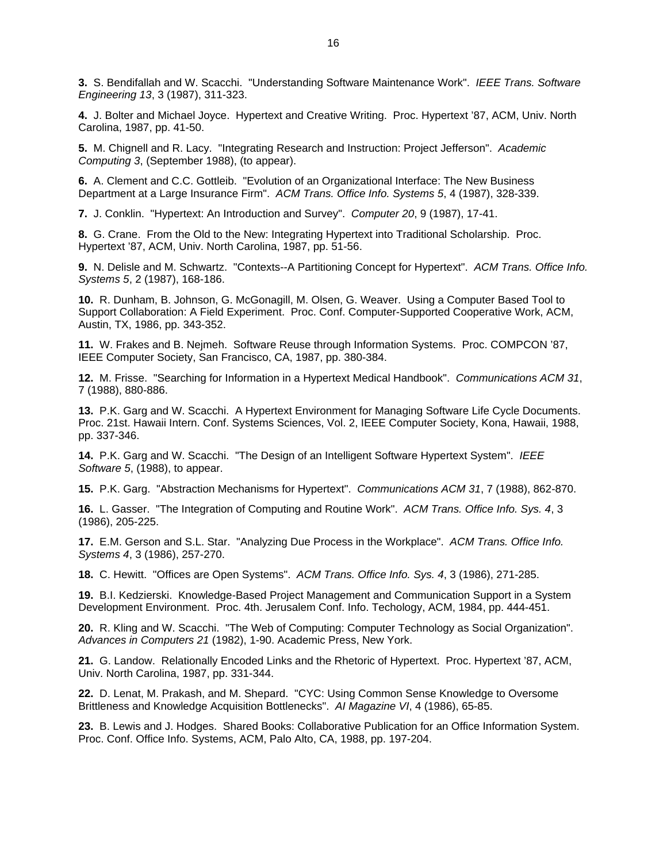**3.** S. Bendifallah and W. Scacchi. "Understanding Software Maintenance Work". IEEE Trans. Software Engineering 13, 3 (1987), 311-323.

**4.** J. Bolter and Michael Joyce. Hypertext and Creative Writing. Proc. Hypertext '87, ACM, Univ. North Carolina, 1987, pp. 41-50.

**5.** M. Chignell and R. Lacy. "Integrating Research and Instruction: Project Jefferson". Academic Computing 3, (September 1988), (to appear).

**6.** A. Clement and C.C. Gottleib. "Evolution of an Organizational Interface: The New Business Department at a Large Insurance Firm". ACM Trans. Office Info. Systems 5, 4 (1987), 328-339.

**7.** J. Conklin. "Hypertext: An Introduction and Survey". Computer 20, 9 (1987), 17-41.

**8.** G. Crane. From the Old to the New: Integrating Hypertext into Traditional Scholarship. Proc. Hypertext '87, ACM, Univ. North Carolina, 1987, pp. 51-56.

**9.** N. Delisle and M. Schwartz. "Contexts--A Partitioning Concept for Hypertext". ACM Trans. Office Info. Systems 5, 2 (1987), 168-186.

**10.** R. Dunham, B. Johnson, G. McGonagill, M. Olsen, G. Weaver. Using a Computer Based Tool to Support Collaboration: A Field Experiment. Proc. Conf. Computer-Supported Cooperative Work, ACM, Austin, TX, 1986, pp. 343-352.

**11.** W. Frakes and B. Nejmeh. Software Reuse through Information Systems. Proc. COMPCON '87, IEEE Computer Society, San Francisco, CA, 1987, pp. 380-384.

**12.** M. Frisse. "Searching for Information in a Hypertext Medical Handbook". Communications ACM 31, 7 (1988), 880-886.

**13.** P.K. Garg and W. Scacchi. A Hypertext Environment for Managing Software Life Cycle Documents. Proc. 21st. Hawaii Intern. Conf. Systems Sciences, Vol. 2, IEEE Computer Society, Kona, Hawaii, 1988, pp. 337-346.

**14.** P.K. Garg and W. Scacchi. "The Design of an Intelligent Software Hypertext System". IEEE Software 5, (1988), to appear.

**15.** P.K. Garg. "Abstraction Mechanisms for Hypertext". Communications ACM 31, 7 (1988), 862-870.

**16.** L. Gasser. "The Integration of Computing and Routine Work". ACM Trans. Office Info. Sys. 4, 3 (1986), 205-225.

**17.** E.M. Gerson and S.L. Star. "Analyzing Due Process in the Workplace". ACM Trans. Office Info. Systems 4, 3 (1986), 257-270.

**18.** C. Hewitt. "Offices are Open Systems". ACM Trans. Office Info. Sys. 4, 3 (1986), 271-285.

**19.** B.I. Kedzierski. Knowledge-Based Project Management and Communication Support in a System Development Environment. Proc. 4th. Jerusalem Conf. Info. Techology, ACM, 1984, pp. 444-451.

**20.** R. Kling and W. Scacchi. "The Web of Computing: Computer Technology as Social Organization". Advances in Computers 21 (1982), 1-90. Academic Press, New York.

**21.** G. Landow. Relationally Encoded Links and the Rhetoric of Hypertext. Proc. Hypertext '87, ACM, Univ. North Carolina, 1987, pp. 331-344.

**22.** D. Lenat, M. Prakash, and M. Shepard. "CYC: Using Common Sense Knowledge to Oversome Brittleness and Knowledge Acquisition Bottlenecks". AI Magazine VI, 4 (1986), 65-85.

**23.** B. Lewis and J. Hodges. Shared Books: Collaborative Publication for an Office Information System. Proc. Conf. Office Info. Systems, ACM, Palo Alto, CA, 1988, pp. 197-204.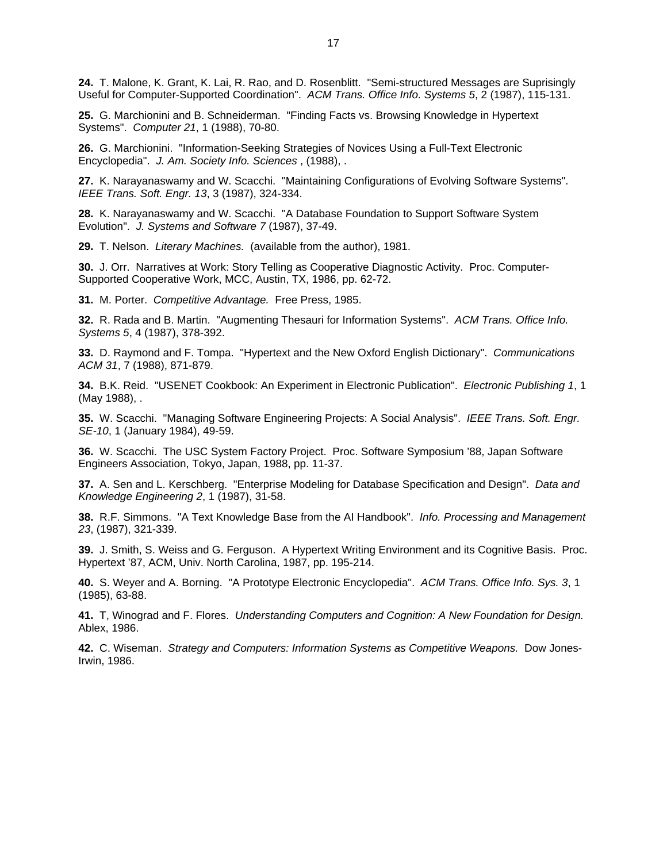**24.** T. Malone, K. Grant, K. Lai, R. Rao, and D. Rosenblitt. "Semi-structured Messages are Suprisingly Useful for Computer-Supported Coordination". ACM Trans. Office Info. Systems 5, 2 (1987), 115-131.

**25.** G. Marchionini and B. Schneiderman. "Finding Facts vs. Browsing Knowledge in Hypertext Systems". Computer 21, 1 (1988), 70-80.

**26.** G. Marchionini. "Information-Seeking Strategies of Novices Using a Full-Text Electronic Encyclopedia". J. Am. Society Info. Sciences , (1988), .

**27.** K. Narayanaswamy and W. Scacchi. "Maintaining Configurations of Evolving Software Systems". IEEE Trans. Soft. Engr. 13, 3 (1987), 324-334.

**28.** K. Narayanaswamy and W. Scacchi. "A Database Foundation to Support Software System Evolution". J. Systems and Software 7 (1987), 37-49.

**29.** T. Nelson. Literary Machines. (available from the author), 1981.

**30.** J. Orr. Narratives at Work: Story Telling as Cooperative Diagnostic Activity. Proc. Computer-Supported Cooperative Work, MCC, Austin, TX, 1986, pp. 62-72.

**31.** M. Porter. Competitive Advantage. Free Press, 1985.

**32.** R. Rada and B. Martin. "Augmenting Thesauri for Information Systems". ACM Trans. Office Info. Systems 5, 4 (1987), 378-392.

**33.** D. Raymond and F. Tompa. "Hypertext and the New Oxford English Dictionary". Communications ACM 31, 7 (1988), 871-879.

**34.** B.K. Reid. "USENET Cookbook: An Experiment in Electronic Publication". Electronic Publishing 1, 1 (May 1988), .

**35.** W. Scacchi. "Managing Software Engineering Projects: A Social Analysis". IEEE Trans. Soft. Engr. SE-10, 1 (January 1984), 49-59.

**36.** W. Scacchi. The USC System Factory Project. Proc. Software Symposium '88, Japan Software Engineers Association, Tokyo, Japan, 1988, pp. 11-37.

**37.** A. Sen and L. Kerschberg. "Enterprise Modeling for Database Specification and Design". Data and Knowledge Engineering 2, 1 (1987), 31-58.

**38.** R.F. Simmons. "A Text Knowledge Base from the AI Handbook". Info. Processing and Management 23, (1987), 321-339.

**39.** J. Smith, S. Weiss and G. Ferguson. A Hypertext Writing Environment and its Cognitive Basis. Proc. Hypertext '87, ACM, Univ. North Carolina, 1987, pp. 195-214.

**40.** S. Weyer and A. Borning. "A Prototype Electronic Encyclopedia". ACM Trans. Office Info. Sys. 3, 1 (1985), 63-88.

**41.** T, Winograd and F. Flores. Understanding Computers and Cognition: A New Foundation for Design. Ablex, 1986.

**42.** C. Wiseman. Strategy and Computers: Information Systems as Competitive Weapons. Dow Jones-Irwin, 1986.